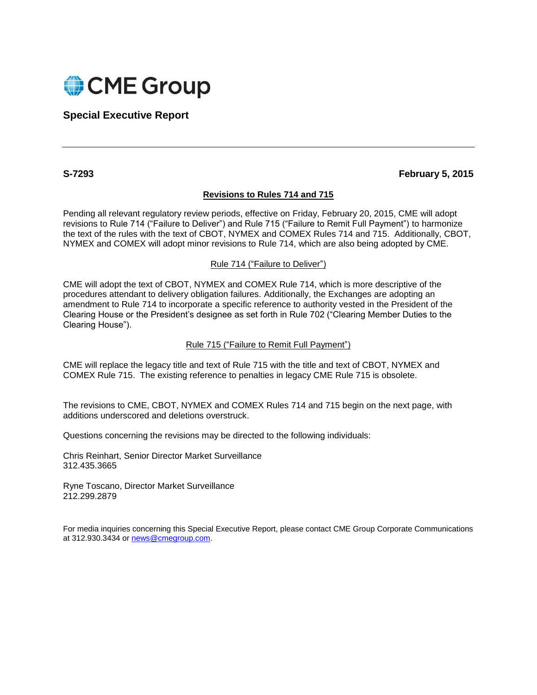

# **Special Executive Report**

**S-7293 February 5, 2015**

# **Revisions to Rules 714 and 715**

Pending all relevant regulatory review periods, effective on Friday, February 20, 2015, CME will adopt revisions to Rule 714 ("Failure to Deliver") and Rule 715 ("Failure to Remit Full Payment") to harmonize the text of the rules with the text of CBOT, NYMEX and COMEX Rules 714 and 715. Additionally, CBOT, NYMEX and COMEX will adopt minor revisions to Rule 714, which are also being adopted by CME.

# Rule 714 ("Failure to Deliver")

CME will adopt the text of CBOT, NYMEX and COMEX Rule 714, which is more descriptive of the procedures attendant to delivery obligation failures. Additionally, the Exchanges are adopting an amendment to Rule 714 to incorporate a specific reference to authority vested in the President of the Clearing House or the President's designee as set forth in Rule 702 ("Clearing Member Duties to the Clearing House").

# Rule 715 ("Failure to Remit Full Payment")

CME will replace the legacy title and text of Rule 715 with the title and text of CBOT, NYMEX and COMEX Rule 715. The existing reference to penalties in legacy CME Rule 715 is obsolete.

The revisions to CME, CBOT, NYMEX and COMEX Rules 714 and 715 begin on the next page, with additions underscored and deletions overstruck.

Questions concerning the revisions may be directed to the following individuals:

Chris Reinhart, Senior Director Market Surveillance 312.435.3665

Ryne Toscano, Director Market Surveillance 212.299.2879

For media inquiries concerning this Special Executive Report, please contact CME Group Corporate Communications at 312.930.3434 or [news@cmegroup.com.](mailto:news@cmegroup.com)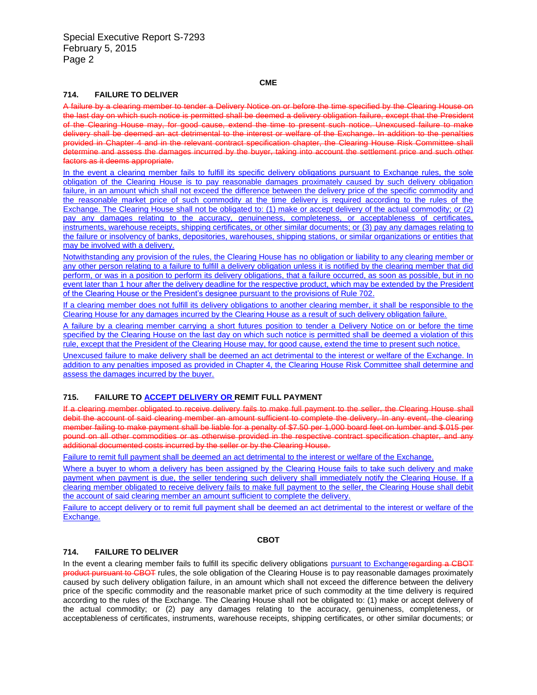#### **CME**

#### **714. FAILURE TO DELIVER**

A failure by a clearing member to tender a Delivery Notice on or before the time specified by the Clearing House on the last day on which such notice is permitted shall be deemed a delivery obligation failure, except that the President of the Clearing House may, for good cause, extend the time to present such notice. Unexcused failure to make delivery shall be deemed an act detrimental to the interest or welfare of the Exchange. In addition to the penalties provided in Chapter 4 and in the relevant contract specification chapter, the Clearing House Risk Committee shall determine and assess the damages incurred by the buyer, taking into account the settlement price and such other factors as it deems appropriate.

In the event a clearing member fails to fulfill its specific delivery obligations pursuant to Exchange rules, the sole obligation of the Clearing House is to pay reasonable damages proximately caused by such delivery obligation failure, in an amount which shall not exceed the difference between the delivery price of the specific commodity and the reasonable market price of such commodity at the time delivery is required according to the rules of the Exchange. The Clearing House shall not be obligated to: (1) make or accept delivery of the actual commodity; or (2) pay any damages relating to the accuracy, genuineness, completeness, or acceptableness of certificates, instruments, warehouse receipts, shipping certificates, or other similar documents; or (3) pay any damages relating to the failure or insolvency of banks, depositories, warehouses, shipping stations, or similar organizations or entities that may be involved with a delivery.

Notwithstanding any provision of the rules, the Clearing House has no obligation or liability to any clearing member or any other person relating to a failure to fulfill a delivery obligation unless it is notified by the clearing member that did perform, or was in a position to perform its delivery obligations, that a failure occurred, as soon as possible, but in no event later than 1 hour after the delivery deadline for the respective product, which may be extended by the President of the Clearing House or the President's designee pursuant to the provisions of Rule 702.

If a clearing member does not fulfill its delivery obligations to another clearing member, it shall be responsible to the Clearing House for any damages incurred by the Clearing House as a result of such delivery obligation failure.

A failure by a clearing member carrying a short futures position to tender a Delivery Notice on or before the time specified by the Clearing House on the last day on which such notice is permitted shall be deemed a violation of this rule, except that the President of the Clearing House may, for good cause, extend the time to present such notice.

Unexcused failure to make delivery shall be deemed an act detrimental to the interest or welfare of the Exchange. In addition to any penalties imposed as provided in Chapter 4, the Clearing House Risk Committee shall determine and assess the damages incurred by the buyer.

### **715. FAILURE TO ACCEPT DELIVERY OR REMIT FULL PAYMENT**

If a clearing member obligated to receive delivery fails to make full payment to the seller, the Clearing House shall debit the account of said clearing member an amount sufficient to complete the delivery. In any event, the clearing member failing to make payment shall be liable for a penalty of \$7.50 per 1,000 board feet on lumber and \$.015 per pound on all other commodities or as otherwise provided in the respective contract specification chapter, and any additional documented costs incurred by the seller or by the Clearing House.

Failure to remit full payment shall be deemed an act detrimental to the interest or welfare of the Exchange.

Where a buyer to whom a delivery has been assigned by the Clearing House fails to take such delivery and make payment when payment is due, the seller tendering such delivery shall immediately notify the Clearing House. If a clearing member obligated to receive delivery fails to make full payment to the seller, the Clearing House shall debit the account of said clearing member an amount sufficient to complete the delivery.

Failure to accept delivery or to remit full payment shall be deemed an act detrimental to the interest or welfare of the Exchange.

#### **CBOT**

#### **714. FAILURE TO DELIVER**

In the event a clearing member fails to fulfill its specific delivery obligations pursuant to Exchangeregarding a CBOT product pursuant to CBOT rules, the sole obligation of the Clearing House is to pay reasonable damages proximately caused by such delivery obligation failure, in an amount which shall not exceed the difference between the delivery price of the specific commodity and the reasonable market price of such commodity at the time delivery is required according to the rules of the Exchange. The Clearing House shall not be obligated to: (1) make or accept delivery of the actual commodity; or (2) pay any damages relating to the accuracy, genuineness, completeness, or acceptableness of certificates, instruments, warehouse receipts, shipping certificates, or other similar documents; or